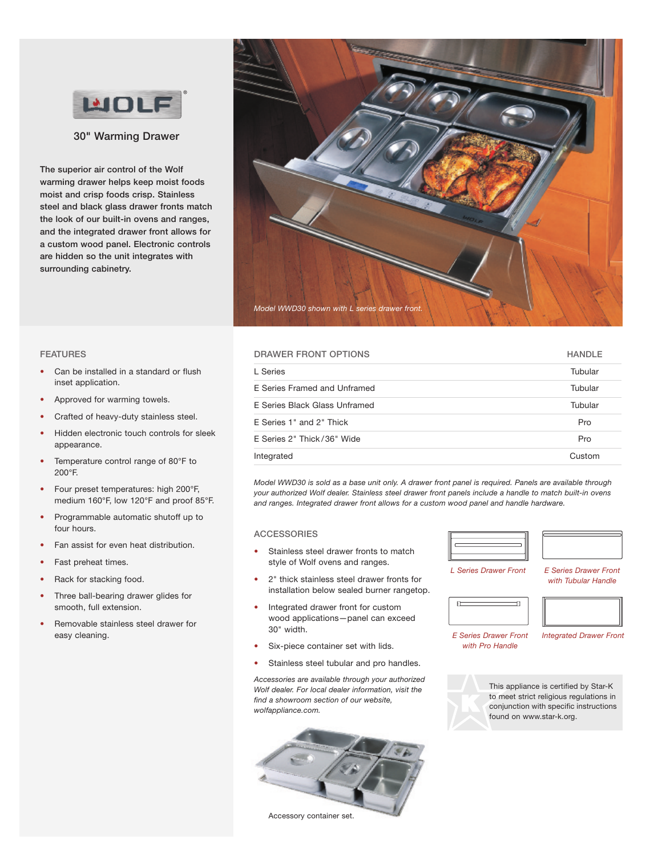

**30" Warming Drawer**

**The superior air control of the Wolf warming drawer helps keep moist foods moist and crisp foods crisp. Stainless steel and black glass drawer fronts match the look of our built-in ovens and ranges, and the integrated drawer front allows for a custom wood panel. Electronic controls are hidden so the unit integrates with surrounding cabinetry.**



## **FEATURES**

- Can be installed in a standard or flush inset application.
- Approved for warming towels.
- Crafted of heavy-duty stainless steel.
- Hidden electronic touch controls for sleek appearance.
- Temperature control range of 80°F to 200°F.
- Four preset temperatures: high 200°F, medium 160°F, low 120°F and proof 85°F.
- Programmable automatic shutoff up to four hours.
- Fan assist for even heat distribution.
- Fast preheat times.
- Rack for stacking food.
- Three ball-bearing drawer glides for smooth, full extension.
- Removable stainless steel drawer for easy cleaning.

# **DRAWER FRONT OPTIONS HANDLE**

| L Series                      | Tubular |
|-------------------------------|---------|
| E Series Framed and Unframed  | Tubular |
| E Series Black Glass Unframed | Tubular |
| E Series 1" and 2" Thick      | Pro     |
| E Series 2" Thick/36" Wide    | Pro     |
| Integrated                    | Custom  |

Model WWD30 is sold as a base unit only. A drawer front panel is required. Panels are available through *your authorized Wolf dealer. Stainless steel drawer front panels include a handle to match built-in ovens and ranges. Integrated drawer front allows for a custom wood panel and handle hardware.*

#### **ACCESSORIES**

- Stainless steel drawer fronts to match style of Wolf ovens and ranges.
- 2" thick stainless steel drawer fronts for installation below sealed burner rangetop.
- Integrated drawer front for custom wood applications—panel can exceed 30" width.
- Six-piece container set with lids.
- Stainless steel tubular and pro handles.

*Accessories are available through your authorized Wolf dealer. For local dealer information, visit the find a showroom section of our website, wolfappliance.com.*



*L Series Drawer Front*

*E Series Drawer Front with Tubular Handle*



*E Series Drawer Front with Pro Handle*

*Integrated Drawer Front*



 $\overline{D}$ 

This appliance is certified by Star-K to meet strict religious regulations in conjunction with specific instructions found on www.star-k.org.

Accessory container set.